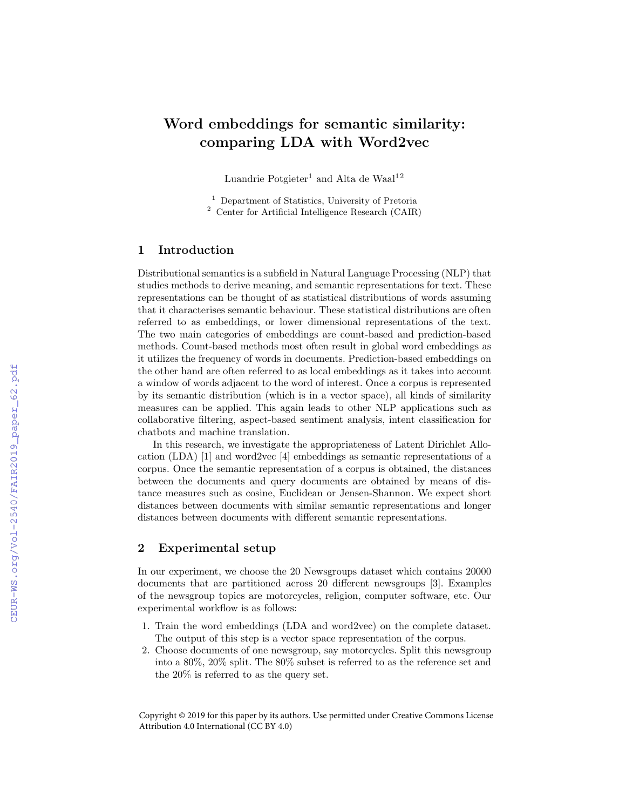# Word embeddings for semantic similarity: comparing LDA with Word2vec

Luandrie Potgieter<sup>1</sup> and Alta de Waal<sup>12</sup>

<sup>1</sup> Department of Statistics, University of Pretoria <sup>2</sup> Center for Artificial Intelligence Research (CAIR)

## 1 Introduction

Distributional semantics is a subfield in Natural Language Processing (NLP) that studies methods to derive meaning, and semantic representations for text. These representations can be thought of as statistical distributions of words assuming that it characterises semantic behaviour. These statistical distributions are often referred to as embeddings, or lower dimensional representations of the text. The two main categories of embeddings are count-based and prediction-based methods. Count-based methods most often result in global word embeddings as it utilizes the frequency of words in documents. Prediction-based embeddings on the other hand are often referred to as local embeddings as it takes into account a window of words adjacent to the word of interest. Once a corpus is represented by its semantic distribution (which is in a vector space), all kinds of similarity measures can be applied. This again leads to other NLP applications such as collaborative filtering, aspect-based sentiment analysis, intent classification for chatbots and machine translation.

In this research, we investigate the appropriateness of Latent Dirichlet Allocation (LDA) [1] and word2vec [4] embeddings as semantic representations of a corpus. Once the semantic representation of a corpus is obtained, the distances between the documents and query documents are obtained by means of distance measures such as cosine, Euclidean or Jensen-Shannon. We expect short distances between documents with similar semantic representations and longer distances between documents with different semantic representations.

### 2 Experimental setup

In our experiment, we choose the 20 Newsgroups dataset which contains 20000 documents that are partitioned across 20 different newsgroups [3]. Examples of the newsgroup topics are motorcycles, religion, computer software, etc. Our experimental workflow is as follows:

- 1. Train the word embeddings (LDA and word2vec) on the complete dataset. The output of this step is a vector space representation of the corpus.
- 2. Choose documents of one newsgroup, say motorcycles. Split this newsgroup into a 80%, 20% split. The 80% subset is referred to as the reference set and the 20% is referred to as the query set.

Copyright © 2019 for this paper by its authors. Use permitted under Creative Commons License Attribution 4.0 International (CC BY 4.0)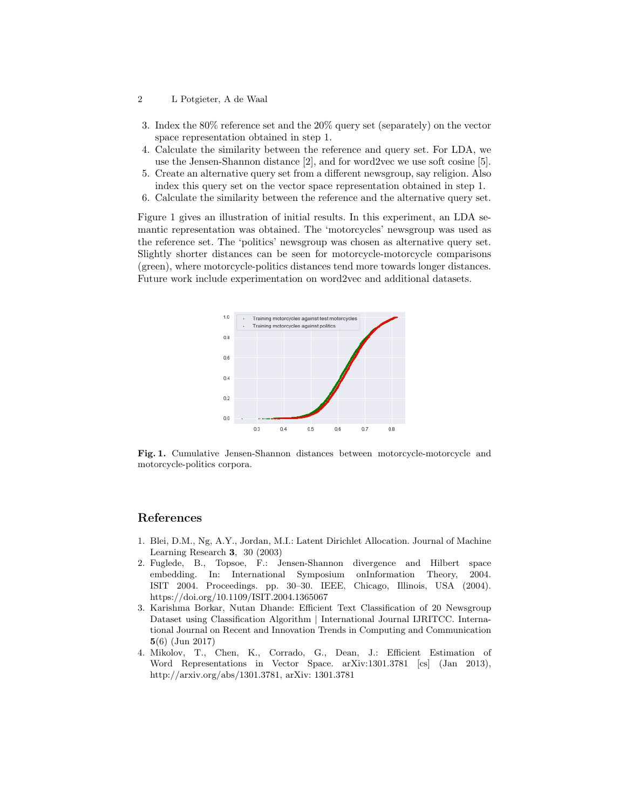#### 2 L Potgieter, A de Waal

- 3. Index the 80% reference set and the 20% query set (separately) on the vector space representation obtained in step 1.
- 4. Calculate the similarity between the reference and query set. For LDA, we use the Jensen-Shannon distance [2], and for word2vec we use soft cosine [5].
- 5. Create an alternative query set from a different newsgroup, say religion. Also index this query set on the vector space representation obtained in step 1.
- 6. Calculate the similarity between the reference and the alternative query set.

Figure 1 gives an illustration of initial results. In this experiment, an LDA semantic representation was obtained. The 'motorcycles' newsgroup was used as the reference set. The 'politics' newsgroup was chosen as alternative query set. Slightly shorter distances can be seen for motorcycle-motorcycle comparisons (green), where motorcycle-politics distances tend more towards longer distances. Future work include experimentation on word2vec and additional datasets.



Fig. 1. Cumulative Jensen-Shannon distances between motorcycle-motorcycle and motorcycle-politics corpora.

#### References

- 1. Blei, D.M., Ng, A.Y., Jordan, M.I.: Latent Dirichlet Allocation. Journal of Machine Learning Research 3, 30 (2003)
- 2. Fuglede, B., Topsoe, F.: Jensen-Shannon divergence and Hilbert space embedding. In: International Symposium onInformation Theory, 2004. ISIT 2004. Proceedings. pp. 30–30. IEEE, Chicago, Illinois, USA (2004). https://doi.org/10.1109/ISIT.2004.1365067
- 3. Karishma Borkar, Nutan Dhande: Efficient Text Classification of 20 Newsgroup Dataset using Classification Algorithm | International Journal IJRITCC. International Journal on Recent and Innovation Trends in Computing and Communication 5(6) (Jun 2017)
- 4. Mikolov, T., Chen, K., Corrado, G., Dean, J.: Efficient Estimation of Word Representations in Vector Space. arXiv:1301.3781 [cs] (Jan 2013), http://arxiv.org/abs/1301.3781, arXiv: 1301.3781